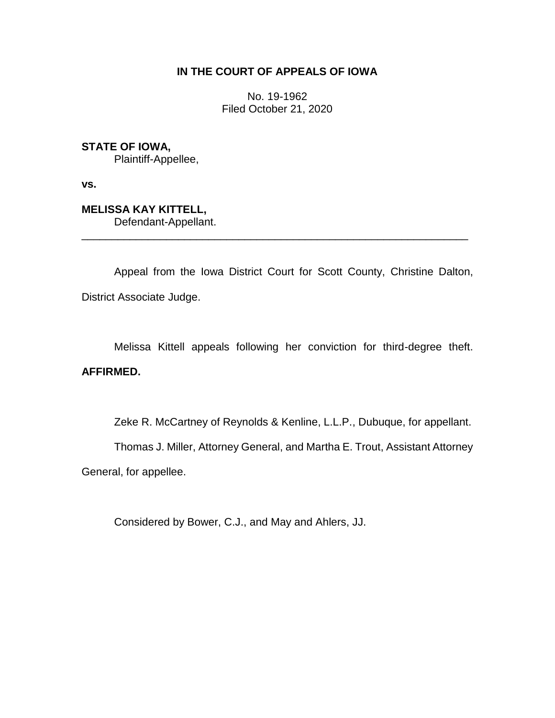## **IN THE COURT OF APPEALS OF IOWA**

No. 19-1962 Filed October 21, 2020

**STATE OF IOWA,**

Plaintiff-Appellee,

**vs.**

**MELISSA KAY KITTELL,** Defendant-Appellant.

Appeal from the Iowa District Court for Scott County, Christine Dalton, District Associate Judge.

\_\_\_\_\_\_\_\_\_\_\_\_\_\_\_\_\_\_\_\_\_\_\_\_\_\_\_\_\_\_\_\_\_\_\_\_\_\_\_\_\_\_\_\_\_\_\_\_\_\_\_\_\_\_\_\_\_\_\_\_\_\_\_\_

Melissa Kittell appeals following her conviction for third-degree theft. **AFFIRMED.**

Zeke R. McCartney of Reynolds & Kenline, L.L.P., Dubuque, for appellant.

Thomas J. Miller, Attorney General, and Martha E. Trout, Assistant Attorney

General, for appellee.

Considered by Bower, C.J., and May and Ahlers, JJ.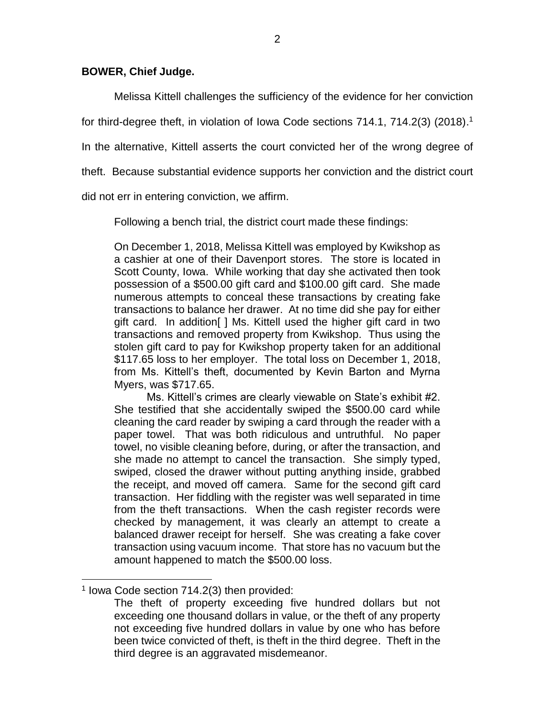## **BOWER, Chief Judge.**

Melissa Kittell challenges the sufficiency of the evidence for her conviction

for third-degree theft, in violation of Iowa Code sections 714.1, 714.2(3) (2018). 1

In the alternative, Kittell asserts the court convicted her of the wrong degree of

theft. Because substantial evidence supports her conviction and the district court

did not err in entering conviction, we affirm.

Following a bench trial, the district court made these findings:

On December 1, 2018, Melissa Kittell was employed by Kwikshop as a cashier at one of their Davenport stores. The store is located in Scott County, Iowa. While working that day she activated then took possession of a \$500.00 gift card and \$100.00 gift card. She made numerous attempts to conceal these transactions by creating fake transactions to balance her drawer. At no time did she pay for either gift card. In addition[ ] Ms. Kittell used the higher gift card in two transactions and removed property from Kwikshop. Thus using the stolen gift card to pay for Kwikshop property taken for an additional \$117.65 loss to her employer. The total loss on December 1, 2018, from Ms. Kittell's theft, documented by Kevin Barton and Myrna Myers, was \$717.65.

Ms. Kittell's crimes are clearly viewable on State's exhibit #2. She testified that she accidentally swiped the \$500.00 card while cleaning the card reader by swiping a card through the reader with a paper towel. That was both ridiculous and untruthful. No paper towel, no visible cleaning before, during, or after the transaction, and she made no attempt to cancel the transaction. She simply typed, swiped, closed the drawer without putting anything inside, grabbed the receipt, and moved off camera. Same for the second gift card transaction. Her fiddling with the register was well separated in time from the theft transactions. When the cash register records were checked by management, it was clearly an attempt to create a balanced drawer receipt for herself. She was creating a fake cover transaction using vacuum income. That store has no vacuum but the amount happened to match the \$500.00 loss.

 $\overline{a}$ 

<sup>1</sup> Iowa Code section 714.2(3) then provided:

The theft of property exceeding five hundred dollars but not exceeding one thousand dollars in value, or the theft of any property not exceeding five hundred dollars in value by one who has before been twice convicted of theft, is theft in the third degree. Theft in the third degree is an aggravated misdemeanor.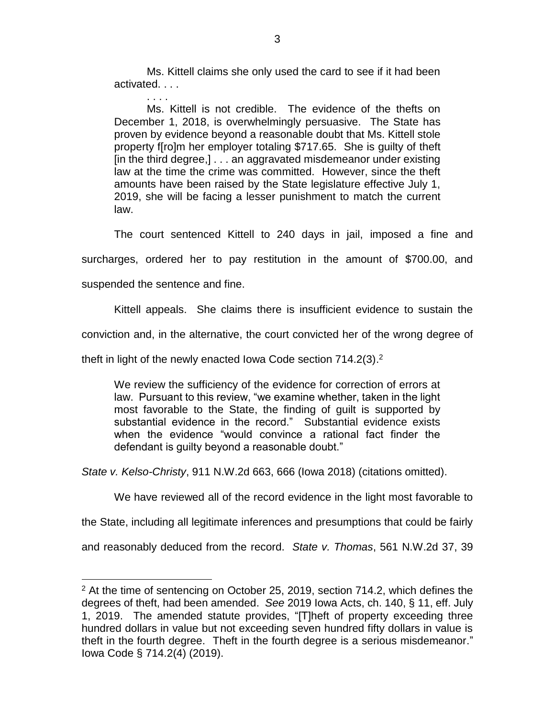Ms. Kittell claims she only used the card to see if it had been activated. . . .

. . . . Ms. Kittell is not credible. The evidence of the thefts on December 1, 2018, is overwhelmingly persuasive. The State has proven by evidence beyond a reasonable doubt that Ms. Kittell stole property f[ro]m her employer totaling \$717.65. She is guilty of theft [in the third degree,] . . . an aggravated misdemeanor under existing law at the time the crime was committed. However, since the theft amounts have been raised by the State legislature effective July 1, 2019, she will be facing a lesser punishment to match the current law.

The court sentenced Kittell to 240 days in jail, imposed a fine and

surcharges, ordered her to pay restitution in the amount of \$700.00, and

suspended the sentence and fine.

 $\overline{a}$ 

Kittell appeals. She claims there is insufficient evidence to sustain the

conviction and, in the alternative, the court convicted her of the wrong degree of

theft in light of the newly enacted lowa Code section 714.2(3).<sup>2</sup>

We review the sufficiency of the evidence for correction of errors at law. Pursuant to this review, "we examine whether, taken in the light most favorable to the State, the finding of guilt is supported by substantial evidence in the record." Substantial evidence exists when the evidence "would convince a rational fact finder the defendant is guilty beyond a reasonable doubt."

*State v. Kelso-Christy*, 911 N.W.2d 663, 666 (Iowa 2018) (citations omitted).

We have reviewed all of the record evidence in the light most favorable to

the State, including all legitimate inferences and presumptions that could be fairly

and reasonably deduced from the record. *State v. Thomas*, 561 N.W.2d 37, 39

 $2$  At the time of sentencing on October 25, 2019, section 714.2, which defines the degrees of theft, had been amended. *See* 2019 Iowa Acts, ch. 140, § 11, eff. July 1, 2019. The amended statute provides, "[T]heft of property exceeding three hundred dollars in value but not exceeding seven hundred fifty dollars in value is theft in the fourth degree. Theft in the fourth degree is a serious misdemeanor." Iowa Code § 714.2(4) (2019).